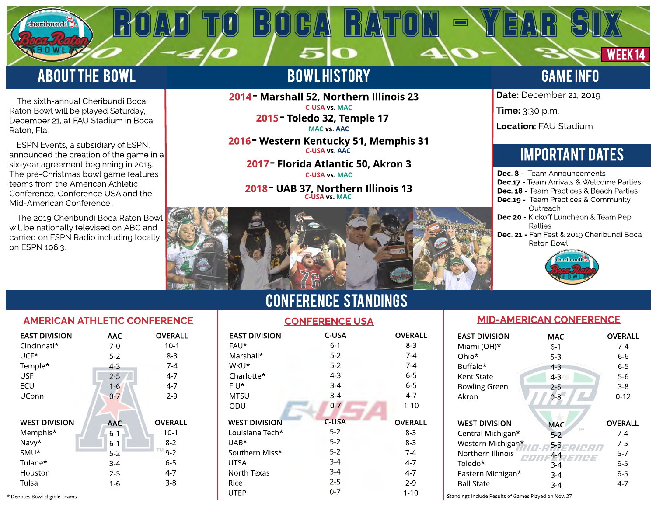# **ABOUT THE BOWL**

cheribundi (

The sixth-annual Cheribundi Boca Raton Bowl will be played Saturday, December 21, at FAU Stadium in Boca Raton, Fla.

 ESPN Events, a subsidiary of ESPN, announced the creation of the game in a six-year agreement beginning in 2015. The pre-Christmas bowl game features teams from the American Athletic Conference, Conference USA and the Mid-American Conference .

The 2019 Cheribundi Boca Raton Bowl will be nationally televised on ABC and carried on ESPN Radio including locally on ESPN 106.3.

# **BOWLHISTORY**

ROAD TO BOGA RATON - YEAR SIX

2014 - Marshall 52, Northern Illinois 23 C-USA vs. MAC

2015 - Toledo 32, Temple 17 MAC vs. AAC

2016 - Western Kentucky 51, Memphis 31 C-USA vs. AAC

2017 - Florida Atlantic 50, Akron 3 C-USA vs. MAC

2018 - UAB 37, Northern Illinois 13 C-USA vs. MAC

# GAME INFO

WEEK<sub>14</sub>

Date: December 21, 2019

Time: 3:30 p.m.

Location: FAU Stadium

# **IMPORTANT DATES**

- Dec. 8 Team Announcements Dec.17 - Team Arrivals & Welcome Parties Dec. 18 - Team Practices & Beach Parties Dec.19 - Team Practices & Community **Outreach** Dec 20 - Kickoff Luncheon & Team Pep Rallies
- Dec. 21 Fan Fest & 2019 Cheribundi Boca Raton Bowl





| <b>EAST DIVISION</b>                                                     | AAC                                                    | <b>OVERALL</b>                                              |
|--------------------------------------------------------------------------|--------------------------------------------------------|-------------------------------------------------------------|
| Cincinnati*                                                              | 7-0                                                    | $10-1$                                                      |
| $UCF*$                                                                   | $5-2$                                                  | 8-3                                                         |
| Temple*                                                                  | $4 - 3$                                                | $7 - 4$                                                     |
| <b>USF</b>                                                               | $2 - 5$                                                | $4 - 7$                                                     |
| ECU                                                                      | $1 - 6$                                                | $4 - 7$                                                     |
| UConn                                                                    | $0 - 7$                                                | $2 - 9$                                                     |
| <b>WEST DIVISION</b><br>Memphis*<br>Navy*<br>SMU <sup>*</sup><br>Tulane* | <b>AAC</b><br>$6 - 1$<br>$6 - 1$<br>$5 - 2$<br>$3 - 4$ | <b>OVERALL</b><br>$10-1$<br>$8 - 2$<br>TM<br>$9 - 2$<br>6-5 |
| Houston                                                                  | $2 - 5$                                                | $4 - 7$                                                     |
| Tulsa                                                                    | 1-6                                                    | $3 - 8$                                                     |

CONFERENCe STANDINGS

| <b>EAST DIVISION</b>          | <b>AAC</b> | <b>OVERALL</b> | <b>EAST DIVISION</b> | C-USA   | <b>OVERALL</b> | <b>EAST DIVISION</b>                                  | <b>MAC</b> |
|-------------------------------|------------|----------------|----------------------|---------|----------------|-------------------------------------------------------|------------|
| Cincinnati*                   | $7-0$      | $10-1$         | FAU*                 | $6-1$   | $8 - 3$        | Miami (OH)*                                           | $6 - 1$    |
| UCF*                          | $5 - 2$    | $8-3$          | Marshall*            | $5 - 2$ | 7-4            | Ohio*                                                 | $5 - 3$    |
| Temple*                       | 4-3        | $7-4$          | WKU*                 | $5 - 2$ | $7-4$          | Buffalo*                                              | $4 - 3$    |
| <b>USF</b>                    | $2 - 5$    | $4 - 7$        | Charlotte*           | $4 - 3$ | $6-5$          | Kent State                                            | $4 - 3$    |
| ECU                           | $1 - 6$    | $4 - 7$        | FIU*                 | $3 - 4$ | $6-5$          | <b>Bowling Green</b>                                  | $2 - 5$    |
| <b>UConn</b>                  | $0-7$      | $2-9$          | <b>MTSU</b>          | $3 - 4$ | $4 - 7$        | Akron                                                 | $0 - 8$    |
|                               |            |                | ODU                  | $0 - 7$ | $1 - 10$       |                                                       |            |
|                               |            |                |                      |         |                |                                                       |            |
| <b>WEST DIVISION</b>          | <b>AAC</b> | <b>OVERALL</b> | <b>WEST DIVISION</b> | C-USA   | <b>OVERALL</b> | <b>WEST DIVISION</b>                                  | <b>MAC</b> |
| Memphis*                      | $6 - 1$    | $10-1$         | Louisiana Tech*      | $5 - 2$ | $8 - 3$        | Central Michigan*                                     | $5-2$      |
| Navy*                         | $6 - 1$    | $8 - 2$        | UAB*                 | $5 - 2$ | $8 - 3$        | Western Michigan*                                     | $5 - 3$    |
| SMU*                          | $5 - 2$    | $9 - 2$        | Southern Miss*       | $5 - 2$ | $7 - 4$        | Northern Illinois                                     | $4 - 4$    |
| Tulane*                       | $3 - 4$    | $6 - 5$        | <b>UTSA</b>          | $3-4$   | $4-7$          | Toledo*                                               | $3 - 4$    |
| Houston                       | $2 - 5$    | $4 - 7$        | North Texas          | $3 - 4$ | $4 - 7$        | Eastern Michigan*                                     | $3-4$      |
| Tulsa                         | $1 - 6$    | $3 - 8$        | Rice                 | $2 - 5$ | $2-9$          | <b>Ball State</b>                                     | $3 - 4$    |
| * Denotes Bowl Eligible Teams |            |                | UTEP                 | $0 - 7$ | $1 - 10$       | -Standings Include Results of Games Played on Nov. 27 |            |

## MID-AMERICAN CONFERENCE

| <b>EAST DIVISION</b>                                                                                                                     | <b>MAC</b>                                                                           | OVERALL                                                                        |
|------------------------------------------------------------------------------------------------------------------------------------------|--------------------------------------------------------------------------------------|--------------------------------------------------------------------------------|
| Miami (OH)*                                                                                                                              | $6-1$                                                                                | 7-4                                                                            |
| Ohio*                                                                                                                                    | $5-3$                                                                                | 6-6                                                                            |
| Buffalo*                                                                                                                                 | $4 - 3$                                                                              | $6 - 5$                                                                        |
| Kent State                                                                                                                               | $4 - 3$                                                                              | $5-6$                                                                          |
| <b>Bowling Green</b>                                                                                                                     | 2-5                                                                                  | $3 - 8$                                                                        |
| Akron                                                                                                                                    | $0 - 8$                                                                              | $0 - 12$                                                                       |
| <b>WEST DIVISION</b><br>Central Michigan*<br>Western Michigan*<br>Northern Illinois<br>Toledo*<br>Eastern Michigan*<br><b>Ball State</b> | <b>MAC</b><br>TM<br>$5-2$<br>$5 - 3$<br>4-4<br>/3//43<br>$3 - 4$<br>$3 - 4$<br>$3-4$ | <b>OVERALL</b><br>$7 - 4$<br>$7-5$<br>$5 - 7$<br>$6 - 5$<br>$6 - 5$<br>$4 - 7$ |